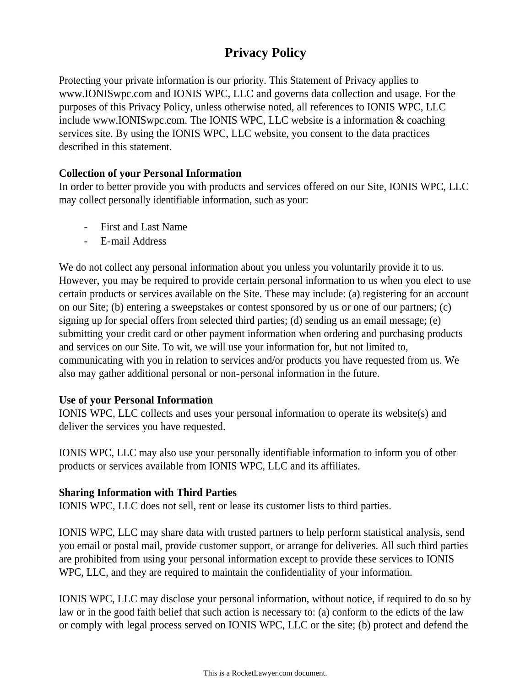# **Privacy Policy**

Protecting your private information is our priority. This Statement of Privacy applies to www.IONISwpc.com and IONIS WPC, LLC and governs data collection and usage. For the purposes of this Privacy Policy, unless otherwise noted, all references to IONIS WPC, LLC include www.IONISwpc.com. The IONIS WPC, LLC website is a information & coaching services site. By using the IONIS WPC, LLC website, you consent to the data practices described in this statement.

## **Collection of your Personal Information**

In order to better provide you with products and services offered on our Site, IONIS WPC, LLC may collect personally identifiable information, such as your:

- First and Last Name
- E-mail Address

We do not collect any personal information about you unless you voluntarily provide it to us. However, you may be required to provide certain personal information to us when you elect to use certain products or services available on the Site. These may include: (a) registering for an account on our Site; (b) entering a sweepstakes or contest sponsored by us or one of our partners; (c) signing up for special offers from selected third parties; (d) sending us an email message; (e) submitting your credit card or other payment information when ordering and purchasing products and services on our Site. To wit, we will use your information for, but not limited to, communicating with you in relation to services and/or products you have requested from us. We also may gather additional personal or non-personal information in the future.

#### **Use of your Personal Information**

IONIS WPC, LLC collects and uses your personal information to operate its website(s) and deliver the services you have requested.

IONIS WPC, LLC may also use your personally identifiable information to inform you of other products or services available from IONIS WPC, LLC and its affiliates.

# **Sharing Information with Third Parties**

IONIS WPC, LLC does not sell, rent or lease its customer lists to third parties.

IONIS WPC, LLC may share data with trusted partners to help perform statistical analysis, send you email or postal mail, provide customer support, or arrange for deliveries. All such third parties are prohibited from using your personal information except to provide these services to IONIS WPC, LLC, and they are required to maintain the confidentiality of your information.

IONIS WPC, LLC may disclose your personal information, without notice, if required to do so by law or in the good faith belief that such action is necessary to: (a) conform to the edicts of the law or comply with legal process served on IONIS WPC, LLC or the site; (b) protect and defend the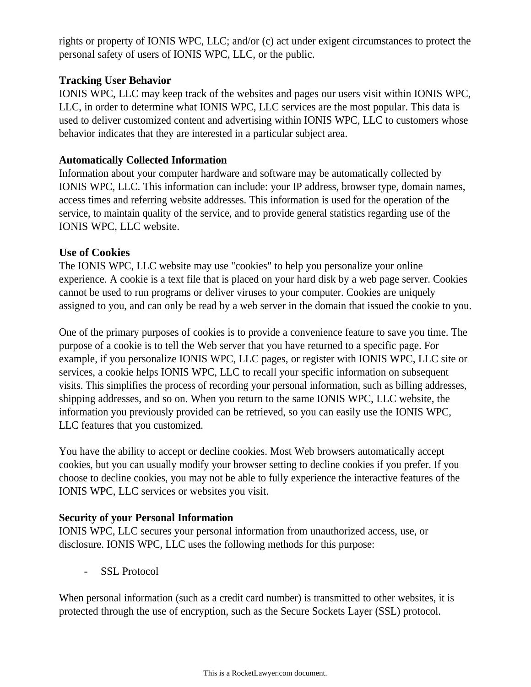rights or property of IONIS WPC, LLC; and/or (c) act under exigent circumstances to protect the personal safety of users of IONIS WPC, LLC, or the public.

### **Tracking User Behavior**

IONIS WPC, LLC may keep track of the websites and pages our users visit within IONIS WPC, LLC, in order to determine what IONIS WPC, LLC services are the most popular. This data is used to deliver customized content and advertising within IONIS WPC, LLC to customers whose behavior indicates that they are interested in a particular subject area.

## **Automatically Collected Information**

Information about your computer hardware and software may be automatically collected by IONIS WPC, LLC. This information can include: your IP address, browser type, domain names, access times and referring website addresses. This information is used for the operation of the service, to maintain quality of the service, and to provide general statistics regarding use of the IONIS WPC, LLC website.

#### **Use of Cookies**

The IONIS WPC, LLC website may use "cookies" to help you personalize your online experience. A cookie is a text file that is placed on your hard disk by a web page server. Cookies cannot be used to run programs or deliver viruses to your computer. Cookies are uniquely assigned to you, and can only be read by a web server in the domain that issued the cookie to you.

One of the primary purposes of cookies is to provide a convenience feature to save you time. The purpose of a cookie is to tell the Web server that you have returned to a specific page. For example, if you personalize IONIS WPC, LLC pages, or register with IONIS WPC, LLC site or services, a cookie helps IONIS WPC, LLC to recall your specific information on subsequent visits. This simplifies the process of recording your personal information, such as billing addresses, shipping addresses, and so on. When you return to the same IONIS WPC, LLC website, the information you previously provided can be retrieved, so you can easily use the IONIS WPC, LLC features that you customized.

You have the ability to accept or decline cookies. Most Web browsers automatically accept cookies, but you can usually modify your browser setting to decline cookies if you prefer. If you choose to decline cookies, you may not be able to fully experience the interactive features of the IONIS WPC, LLC services or websites you visit.

#### **Security of your Personal Information**

IONIS WPC, LLC secures your personal information from unauthorized access, use, or disclosure. IONIS WPC, LLC uses the following methods for this purpose:

- SSL Protocol

When personal information (such as a credit card number) is transmitted to other websites, it is protected through the use of encryption, such as the Secure Sockets Layer (SSL) protocol.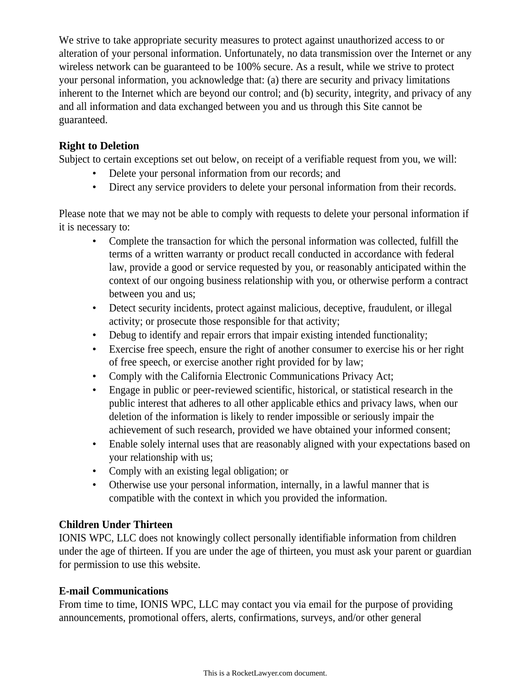We strive to take appropriate security measures to protect against unauthorized access to or alteration of your personal information. Unfortunately, no data transmission over the Internet or any wireless network can be guaranteed to be 100% secure. As a result, while we strive to protect your personal information, you acknowledge that: (a) there are security and privacy limitations inherent to the Internet which are beyond our control; and (b) security, integrity, and privacy of any and all information and data exchanged between you and us through this Site cannot be guaranteed.

## **Right to Deletion**

Subject to certain exceptions set out below, on receipt of a verifiable request from you, we will:

- Delete your personal information from our records; and
- Direct any service providers to delete your personal information from their records.

Please note that we may not be able to comply with requests to delete your personal information if it is necessary to:

- Complete the transaction for which the personal information was collected, fulfill the terms of a written warranty or product recall conducted in accordance with federal law, provide a good or service requested by you, or reasonably anticipated within the context of our ongoing business relationship with you, or otherwise perform a contract between you and us;
- Detect security incidents, protect against malicious, deceptive, fraudulent, or illegal activity; or prosecute those responsible for that activity;
- Debug to identify and repair errors that impair existing intended functionality;
- Exercise free speech, ensure the right of another consumer to exercise his or her right of free speech, or exercise another right provided for by law;
- Comply with the California Electronic Communications Privacy Act;
- Engage in public or peer-reviewed scientific, historical, or statistical research in the public interest that adheres to all other applicable ethics and privacy laws, when our deletion of the information is likely to render impossible or seriously impair the achievement of such research, provided we have obtained your informed consent;
- Enable solely internal uses that are reasonably aligned with your expectations based on your relationship with us;
- Comply with an existing legal obligation; or
- Otherwise use your personal information, internally, in a lawful manner that is compatible with the context in which you provided the information.

#### **Children Under Thirteen**

IONIS WPC, LLC does not knowingly collect personally identifiable information from children under the age of thirteen. If you are under the age of thirteen, you must ask your parent or guardian for permission to use this website.

#### **E-mail Communications**

From time to time, IONIS WPC, LLC may contact you via email for the purpose of providing announcements, promotional offers, alerts, confirmations, surveys, and/or other general